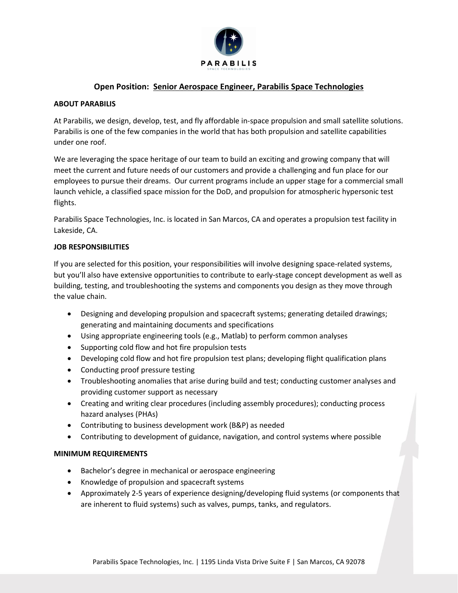

# **Open Position: Senior Aerospace Engineer, Parabilis Space Technologies**

#### **ABOUT PARABILIS**

At Parabilis, we design, develop, test, and fly affordable in-space propulsion and small satellite solutions. Parabilis is one of the few companies in the world that has both propulsion and satellite capabilities under one roof.

We are leveraging the space heritage of our team to build an exciting and growing company that will meet the current and future needs of our customers and provide a challenging and fun place for our employees to pursue their dreams. Our current programs include an upper stage for a commercial small launch vehicle, a classified space mission for the DoD, and propulsion for atmospheric hypersonic test flights.

Parabilis Space Technologies, Inc. is located in San Marcos, CA and operates a propulsion test facility in Lakeside, CA.

## **JOB RESPONSIBILITIES**

If you are selected for this position, your responsibilities will involve designing space-related systems, but you'll also have extensive opportunities to contribute to early-stage concept development as well as building, testing, and troubleshooting the systems and components you design as they move through the value chain.

- Designing and developing propulsion and spacecraft systems; generating detailed drawings; generating and maintaining documents and specifications
- Using appropriate engineering tools (e.g., Matlab) to perform common analyses
- Supporting cold flow and hot fire propulsion tests
- Developing cold flow and hot fire propulsion test plans; developing flight qualification plans
- Conducting proof pressure testing
- Troubleshooting anomalies that arise during build and test; conducting customer analyses and providing customer support as necessary
- Creating and writing clear procedures (including assembly procedures); conducting process hazard analyses (PHAs)
- Contributing to business development work (B&P) as needed
- Contributing to development of guidance, navigation, and control systems where possible

### **MINIMUM REQUIREMENTS**

- Bachelor's degree in mechanical or aerospace engineering
- Knowledge of propulsion and spacecraft systems
- Approximately 2-5 years of experience designing/developing fluid systems (or components that are inherent to fluid systems) such as valves, pumps, tanks, and regulators.